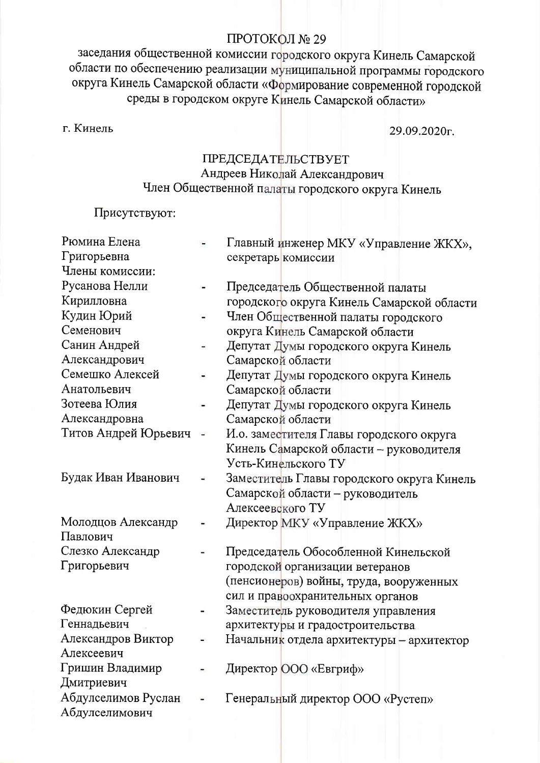# ПРОТОКОЛ № 29

заседания общественной комиссии городского округа Кинель Самарской области по обеспечению реализации муниципальной программы городского округа Кинель Самарской области «Формирование современной городской среды в городском округе Кинель Самарской области»

г. Кинель

29.09.2020г.

## ПРЕДСЕДАТЕЛЬСТВУЕТ Андреев Николай Александрович Член Общественной палаты городского округа Кинель

Присутствуют:

| Рюмина Елена         |    | Главный инженер МКУ «Управление ЖКХ»,      |
|----------------------|----|--------------------------------------------|
| Григорьевна          |    | секретарь комиссии                         |
| Члены комиссии:      |    |                                            |
| Русанова Нелли       |    | Председатель Общественной палаты           |
| Кирилловна           |    | городского округа Кинель Самарской области |
| Кудин Юрий           |    | Член Общественной палаты городского        |
| Семенович            |    | округа Кинель Самарской области            |
| Санин Андрей         |    | Депутат Думы городского округа Кинель      |
| Александрович        |    | Самарской области                          |
| Семешко Алексей      |    | Депутат Думы городского округа Кинель      |
| Анатольевич          |    | Самарской области                          |
| Зотеева Юлия         |    | Депутат Думы городского округа Кинель      |
| Александровна        |    | Самарской области                          |
| Титов Андрей Юрьевич | W. | И.о. заместителя Главы городского округа   |
|                      |    | Кинель Самарской области - руководителя    |
|                      |    | Усть-Кинельского ТУ                        |
| Будак Иван Иванович  |    | Заместитель Главы городского округа Кинель |
|                      |    | Самарской области - руководитель           |
|                      |    | Алексеевского ТУ                           |
| Молодцов Александр   |    | Директор МКУ «Управление ЖКХ»              |
| Павлович             |    |                                            |
| Слезко Александр     |    | Председатель Обособленной Кинельской       |
| Григорьевич          |    | городской организации ветеранов            |
|                      |    | (пенсионеров) войны, труда, вооруженных    |
|                      |    | сил и правоохранительных органов           |
| Федюкин Сергей       |    | Заместитель руководителя управления        |
| Геннадьевич          |    | архитектуры и градостроительства           |
| Александров Виктор   |    | Начальник отдела архитектуры - архитектор  |
| Алексеевич           |    |                                            |
| Гришин Владимир      |    | Директор ООО «Евгриф»                      |
| Дмитриевич           |    |                                            |
| Абдулселимов Руслан  |    | Генеральный директор ООО «Рустеп»          |
| Абдулселимович       |    |                                            |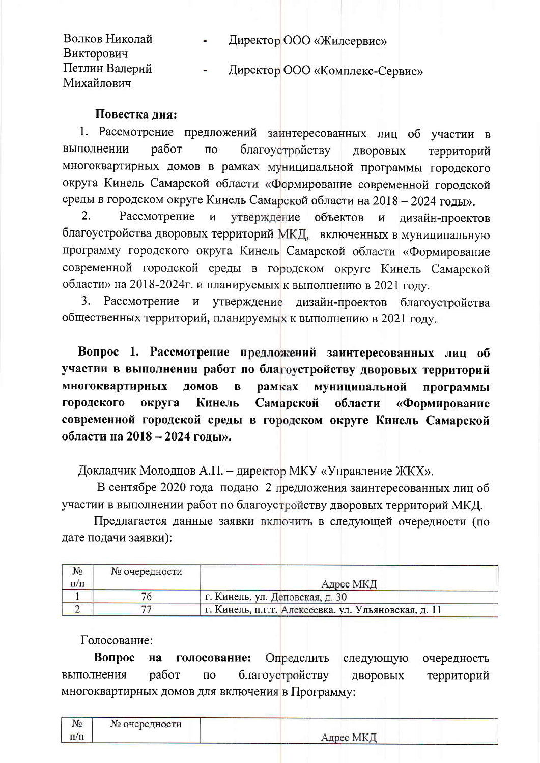| Волков Николай | $\blacksquare$ | Директор ООО «Жилсервис»       |
|----------------|----------------|--------------------------------|
| Викторович     |                |                                |
| Петлин Валерий | and i          | Директор ООО «Комплекс-Сервис» |
| Михайлович     |                |                                |

### Повестка дня:

1. Рассмотрение предложений заинтересованных лиц об участии в выполнении работ  $\Pi$ <sup>O</sup> благоустройству ДВОРОВЫХ территорий многоквартирных домов в рамках муниципальной программы городского округа Кинель Самарской области «Формирование современной городской среды в городском округе Кинель Самарской области на 2018 - 2024 годы».

2. Рассмотрение  $\mathbf{M}$ утверждение объектов  $\, {\bf N}$ дизайн-проектов благоустройства дворовых территорий МКД, включенных в муниципальную программу городского округа Кинель Самарской области «Формирование современной городской среды в городском округе Кинель Самарской области» на 2018-2024 г. и планируемых к выполнению в 2021 году.

Рассмотрение и утверждение дизайн-проектов 3. благоустройства общественных территорий, планируемых к выполнению в 2021 году.

Вопрос 1. Рассмотрение предложений заинтересованных лиц об участии в выполнении работ по благоустройству дворовых территорий **МНОГОКВАРТИРНЫХ** домов рамках  $\mathbf B$ муниципальной программы городского округа Кинель Самарской области «Формирование современной городской среды в городском округе Кинель Самарской области на 2018 - 2024 годы».

Докладчик Молодцов А.П. – директор МКУ «Управление ЖКХ».

В сентябре 2020 года подано 2 предложения заинтересованных лиц об участии в выполнении работ по благоустройству дворовых территорий МКД.

Предлагается данные заявки включить в следующей очередности (по дате подачи заявки):

| No        | № очередности |                                                      |  |
|-----------|---------------|------------------------------------------------------|--|
| $\Pi/\Pi$ |               | Адрес МКД                                            |  |
|           |               | г. Кинель, ул. Деповская, д. 30                      |  |
|           |               | г. Кинель, п.г.т. Алексеевка, ул. Ульяновская, д. 11 |  |

## Голосование:

**Bonpoc** на голосование: Определить следующую очередность выполнения работ благоустройству  $\Pi$ O дворовых территорий многоквартирных домов для включения в Программу:

| <br>N <sub>0</sub> | № очередности |           |
|--------------------|---------------|-----------|
| $\Pi/\Pi$          |               | Адрес МКД |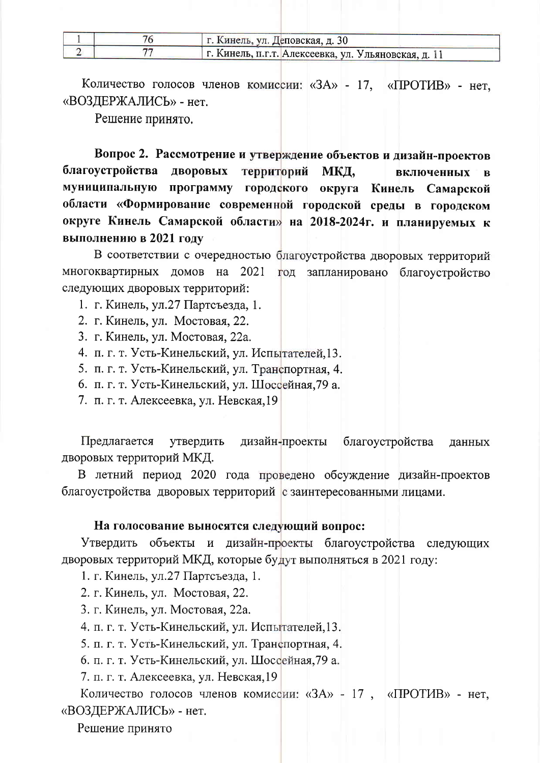|  | г. Кинель, ул. Деповская, д. 30                      |
|--|------------------------------------------------------|
|  | г. Кинель, п.г.т. Алексеевка, ул. Ульяновская, д. 11 |

Количество голосов членов комиссии: «ЗА» - 17, «ПРОТИВ» - нет. «ВОЗДЕРЖАЛИСЬ» - нет.

Решение принято.

Вопрос 2. Рассмотрение и утверждение объектов и дизайн-проектов благоустройства дворовых территорий МКД, включенных муниципальную программу городского округа Кинель Самарской области «Формирование современной городской среды в городском округе Кинель Самарской области» на 2018-2024г. и планируемых к выполнению в 2021 году

В соответствии с очередностью благоустройства дворовых территорий многоквартирных домов на 2021 год запланировано благоустройство следующих дворовых территорий:

1. г. Кинель, ул.27 Партсъезда, 1.

- 2. г. Кинель, ул. Мостовая, 22.
- 3. г. Кинель, ул. Мостовая, 22а.
- 4. п. г. т. Усть-Кинельский, ул. Испытателей, 13.
- 5. п. г. т. Усть-Кинельский, ул. Транспортная, 4.
- 6. п. г. т. Усть-Кинельский, ул. Шоссейная, 79 а.
- 7. п. г. т. Алексеевка, ул. Невская, 19

Предлагается утвердить дизайн-проекты благоустройства ланных дворовых территорий МКД.

В летний период 2020 года проведено обсуждение дизайн-проектов благоустройства дворовых территорий с заинтересованными лицами.

### На голосование выносятся следующий вопрос:

Утвердить объекты и дизайн-проекты благоустройства следующих дворовых территорий МКД, которые будут выполняться в 2021 году:

1. г. Кинель, ул.27 Партсъезда, 1.

2. г. Кинель, ул. Мостовая, 22.

3. г. Кинель, ул. Мостовая, 22а.

4. п. г. т. Усть-Кинельский, ул. Испытателей, 13.

5. п. г. т. Усть-Кинельский, ул. Транспортная, 4.

6. п. г. т. Усть-Кинельский, ул. Шоссейная, 79 а.

7. п. г. т. Алексеевка, ул. Невская, 19

Количество голосов членов комиссии: «ЗА» - 17, «ПРОТИВ» - нет, «ВОЗДЕРЖАЛИСЬ» - нет.

Решение принято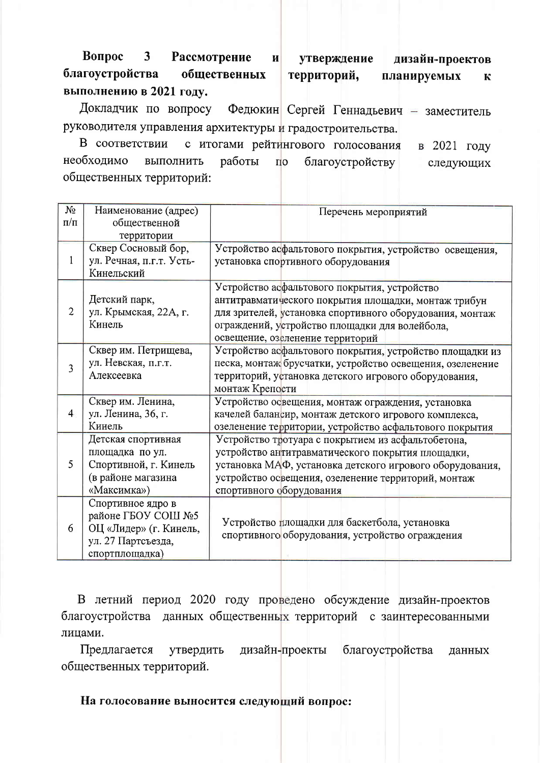Вопрос Рассмотрение  $3<sup>1</sup>$ дизайн-проектов  $\mathbf{H}$ утверждение благоустройства общественных территорий, планируемых  $\mathbf{K}$ выполнению в 2021 году.

Федюкин Сергей Геннадьевич - заместитель Докладчик по вопросу руководителя управления архитектуры и градостроительства.

с итогами рейтингового голосования В соответствии в 2021 году необходимо выполнить работы следующих по благоустройству общественных территорий:

| $N_2$          |                          |                                                           |
|----------------|--------------------------|-----------------------------------------------------------|
|                | Наименование (адрес)     | Перечень мероприятий                                      |
| $\Pi/\Pi$      | общественной             |                                                           |
|                | территории               |                                                           |
| 1              | Сквер Сосновый бор,      | Устройство асфальтового покрытия, устройство освещения,   |
|                | ул. Речная, п.г.т. Усть- | установка спортивного оборудования                        |
|                | Кинельский               |                                                           |
|                |                          | Устройство асфальтового покрытия, устройство              |
|                | Детский парк,            |                                                           |
| $\overline{2}$ |                          | антитравматического покрытия площадки, монтаж трибун      |
|                | ул. Крымская, 22А, г.    | для зрителей, установка спортивного оборудования, монтаж  |
|                | Кинель                   | ограждений, устройство площадки для волейбола,            |
|                |                          | освещение, озеленение территорий                          |
|                | Сквер им. Петрищева,     | Устройство асфальтового покрытия, устройство площадки из  |
| $\overline{3}$ | ул. Невская, п.г.т.      | песка, монтаж брусчатки, устройство освещения, озеленение |
|                | Алексеевка               | территорий, установка детского игрового оборудования,     |
|                |                          | монтаж Крепости                                           |
|                | Сквер им. Ленина,        | Устройство освещения, монтаж ограждения, установка        |
| $\overline{4}$ | ул. Ленина, 36, г.       | качелей балансир, монтаж детского игрового комплекса,     |
|                | Кинель                   | озеленение территории, устройство асфальтового покрытия   |
|                |                          |                                                           |
|                | Детская спортивная       | Устройство тротуара с покрытием из асфальтобетона,        |
|                | площадка по ул.          | устройство антитравматического покрытия площадки,         |
| 5              | Спортивной, г. Кинель    | установка МАФ, установка детского игрового оборудования,  |
|                | (в районе магазина       | устройство освещения, озеленение территорий, монтаж       |
|                | «Максимка»)              | спортивного оборудования                                  |
|                | Спортивное ядро в        |                                                           |
| 6              | районе ГБОУ СОШ №5       |                                                           |
|                | ОЦ «Лидер» (г. Кинель,   | Устройство площадки для баскетбола, установка             |
|                | ул. 27 Партсъезда,       | спортивного оборудования, устройство ограждения           |
|                |                          |                                                           |
|                | спортплощадка)           |                                                           |

В летний период 2020 году проведено обсуждение дизайн-проектов благоустройства данных общественных территорий с заинтересованными лицами.

дизайн-проекты благоустройства Предлагается утвердить данных общественных территорий.

### На голосование выносится следующий вопрос: